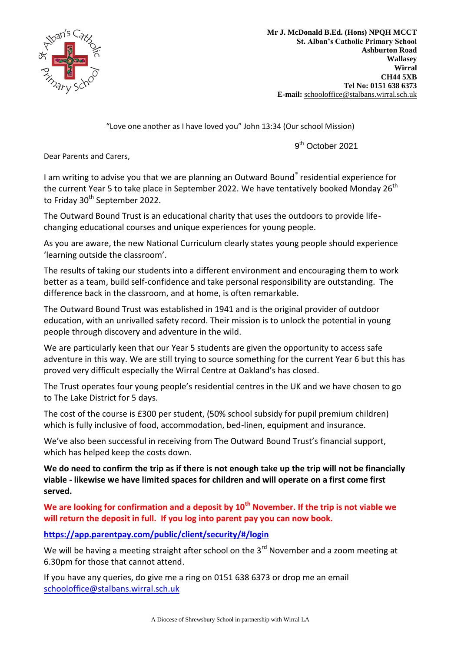

**Mr J. McDonald B.Ed. (Hons) NPQH MCCT St. Alban's Catholic Primary School Ashburton Road Wallasey Wirral CH44 5XB Tel No: 0151 638 6373 E-mail:** [schooloffice@stalbans.wirral.sch.](mailto:schooloffice@stalbans.wirral.sch.uk)uk

"Love one another as I have loved you" John 13:34 (Our school Mission)

9<sup>th</sup> October 2021

Dear Parents and Carers,

I am writing to advise you that we are planning an Outward Bound<sup>®</sup> residential experience for the current Year 5 to take place in September 2022. We have tentatively booked Monday  $26<sup>th</sup>$ to Friday 30<sup>th</sup> September 2022.

The Outward Bound Trust is an educational charity that uses the outdoors to provide lifechanging educational courses and unique experiences for young people.

As you are aware, the new National Curriculum clearly states young people should experience 'learning outside the classroom'.

The results of taking our students into a different environment and encouraging them to work better as a team, build self-confidence and take personal responsibility are outstanding. The difference back in the classroom, and at home, is often remarkable.

The Outward Bound Trust was established in 1941 and is the original provider of outdoor education, with an unrivalled safety record. Their mission is to unlock the potential in young people through discovery and adventure in the wild.

We are particularly keen that our Year 5 students are given the opportunity to access safe adventure in this way. We are still trying to source something for the current Year 6 but this has proved very difficult especially the Wirral Centre at Oakland's has closed.

The Trust operates four young people's residential centres in the UK and we have chosen to go to The Lake District for 5 days.

The cost of the course is £300 per student, (50% school subsidy for pupil premium children) which is fully inclusive of food, accommodation, bed-linen, equipment and insurance.

We've also been successful in receiving from The Outward Bound Trust's financial support, which has helped keep the costs down.

**We do need to confirm the trip as if there is not enough take up the trip will not be financially viable - likewise we have limited spaces for children and will operate on a first come first served.** 

**We are looking for confirmation and a deposit by 10th November. If the trip is not viable we will return the deposit in full. If you log into parent pay you can now book.**

**<https://app.parentpay.com/public/client/security/#/login>**

We will be having a meeting straight after school on the  $3<sup>rd</sup>$  November and a zoom meeting at 6.30pm for those that cannot attend.

If you have any queries, do give me a ring on 0151 638 6373 or drop me an email [schooloffice@stalbans.wirral.sch.uk](mailto:schooloffice@stalbans.wirral.sch.uk)